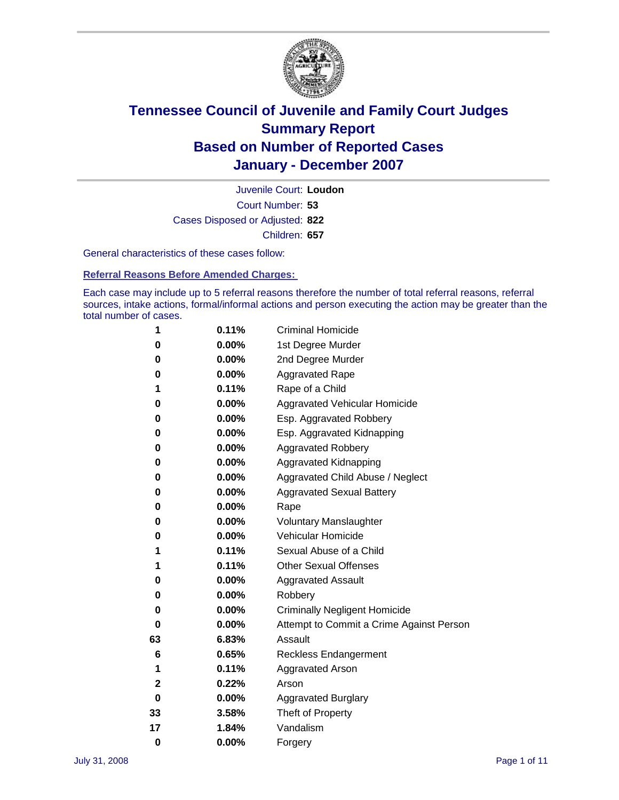

Court Number: **53** Juvenile Court: **Loudon** Cases Disposed or Adjusted: **822** Children: **657**

General characteristics of these cases follow:

**Referral Reasons Before Amended Charges:** 

Each case may include up to 5 referral reasons therefore the number of total referral reasons, referral sources, intake actions, formal/informal actions and person executing the action may be greater than the total number of cases.

| 1        | 0.11%    | <b>Criminal Homicide</b>                 |
|----------|----------|------------------------------------------|
| 0        | 0.00%    | 1st Degree Murder                        |
| 0        | 0.00%    | 2nd Degree Murder                        |
| 0        | 0.00%    | <b>Aggravated Rape</b>                   |
| 1        | 0.11%    | Rape of a Child                          |
| 0        | $0.00\%$ | Aggravated Vehicular Homicide            |
| 0        | 0.00%    | Esp. Aggravated Robbery                  |
| 0        | 0.00%    | Esp. Aggravated Kidnapping               |
| 0        | 0.00%    | <b>Aggravated Robbery</b>                |
| 0        | 0.00%    | Aggravated Kidnapping                    |
| 0        | $0.00\%$ | Aggravated Child Abuse / Neglect         |
| 0        | 0.00%    | <b>Aggravated Sexual Battery</b>         |
| 0        | 0.00%    | Rape                                     |
| 0        | 0.00%    | <b>Voluntary Manslaughter</b>            |
| 0        | 0.00%    | Vehicular Homicide                       |
| 1        | 0.11%    | Sexual Abuse of a Child                  |
| 1        | 0.11%    | <b>Other Sexual Offenses</b>             |
| 0        | 0.00%    | <b>Aggravated Assault</b>                |
| 0        | 0.00%    | Robbery                                  |
| 0        | 0.00%    | <b>Criminally Negligent Homicide</b>     |
| 0        | 0.00%    | Attempt to Commit a Crime Against Person |
| 63       | 6.83%    | Assault                                  |
| 6        | 0.65%    | <b>Reckless Endangerment</b>             |
| 1        | 0.11%    | <b>Aggravated Arson</b>                  |
| 2        | 0.22%    | Arson                                    |
| 0        | 0.00%    | <b>Aggravated Burglary</b>               |
| 33       | 3.58%    | Theft of Property                        |
| 17       | 1.84%    | Vandalism                                |
| $\bf{0}$ | 0.00%    | Forgery                                  |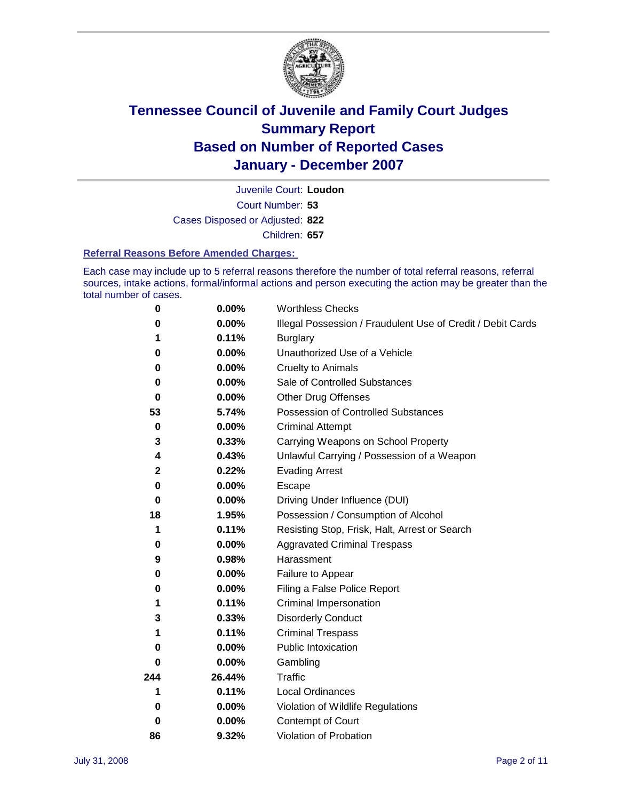

Court Number: **53** Juvenile Court: **Loudon** Cases Disposed or Adjusted: **822** Children: **657**

#### **Referral Reasons Before Amended Charges:**

Each case may include up to 5 referral reasons therefore the number of total referral reasons, referral sources, intake actions, formal/informal actions and person executing the action may be greater than the total number of cases.

| 0           | 0.00%    | <b>Worthless Checks</b>                                     |
|-------------|----------|-------------------------------------------------------------|
| 0           | 0.00%    | Illegal Possession / Fraudulent Use of Credit / Debit Cards |
|             | 0.11%    | <b>Burglary</b>                                             |
| 0           | $0.00\%$ | Unauthorized Use of a Vehicle                               |
| 0           | 0.00%    | <b>Cruelty to Animals</b>                                   |
| 0           | $0.00\%$ | Sale of Controlled Substances                               |
| $\bf{0}$    | 0.00%    | <b>Other Drug Offenses</b>                                  |
| 53          | 5.74%    | <b>Possession of Controlled Substances</b>                  |
| $\mathbf 0$ | $0.00\%$ | <b>Criminal Attempt</b>                                     |
| 3           | 0.33%    | Carrying Weapons on School Property                         |
| 4           | 0.43%    | Unlawful Carrying / Possession of a Weapon                  |
| $\mathbf 2$ | 0.22%    | <b>Evading Arrest</b>                                       |
| 0           | 0.00%    | Escape                                                      |
| $\bf{0}$    | 0.00%    | Driving Under Influence (DUI)                               |
| 18          | 1.95%    | Possession / Consumption of Alcohol                         |
| 1           | 0.11%    | Resisting Stop, Frisk, Halt, Arrest or Search               |
| 0           | $0.00\%$ | <b>Aggravated Criminal Trespass</b>                         |
| 9           | 0.98%    | Harassment                                                  |
| 0           | 0.00%    | Failure to Appear                                           |
| 0           | 0.00%    | Filing a False Police Report                                |
| 1           | 0.11%    | Criminal Impersonation                                      |
| 3           | 0.33%    | <b>Disorderly Conduct</b>                                   |
| 1           | 0.11%    | <b>Criminal Trespass</b>                                    |
| 0           | 0.00%    | <b>Public Intoxication</b>                                  |
| 0           | 0.00%    | Gambling                                                    |
| 244         | 26.44%   | Traffic                                                     |
| 1           | 0.11%    | <b>Local Ordinances</b>                                     |
| 0           | $0.00\%$ | Violation of Wildlife Regulations                           |
| 0           | 0.00%    | Contempt of Court                                           |
| 86          | 9.32%    | Violation of Probation                                      |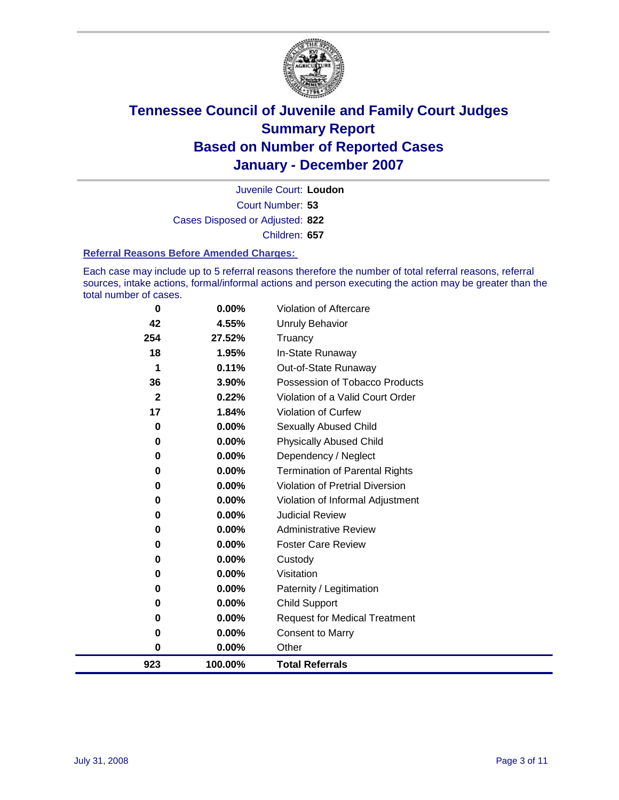

Court Number: **53** Juvenile Court: **Loudon** Cases Disposed or Adjusted: **822** Children: **657**

#### **Referral Reasons Before Amended Charges:**

Each case may include up to 5 referral reasons therefore the number of total referral reasons, referral sources, intake actions, formal/informal actions and person executing the action may be greater than the total number of cases.

| 923          | 100.00% | <b>Total Referrals</b>                 |
|--------------|---------|----------------------------------------|
| 0            | 0.00%   | Other                                  |
| 0            | 0.00%   | <b>Consent to Marry</b>                |
| 0            | 0.00%   | <b>Request for Medical Treatment</b>   |
| 0            | 0.00%   | <b>Child Support</b>                   |
| 0            | 0.00%   | Paternity / Legitimation               |
| 0            | 0.00%   | Visitation                             |
| 0            | 0.00%   | Custody                                |
| 0            | 0.00%   | <b>Foster Care Review</b>              |
| 0            | 0.00%   | <b>Administrative Review</b>           |
| 0            | 0.00%   | <b>Judicial Review</b>                 |
| 0            | 0.00%   | Violation of Informal Adjustment       |
| 0            | 0.00%   | <b>Violation of Pretrial Diversion</b> |
| 0            | 0.00%   | <b>Termination of Parental Rights</b>  |
| 0            | 0.00%   | Dependency / Neglect                   |
| $\bf{0}$     | 0.00%   | <b>Physically Abused Child</b>         |
| 0            | 0.00%   | <b>Sexually Abused Child</b>           |
| 17           | 1.84%   | Violation of Curfew                    |
| $\mathbf{2}$ | 0.22%   | Violation of a Valid Court Order       |
| 36           | 3.90%   | Possession of Tobacco Products         |
| 1            | 0.11%   | Out-of-State Runaway                   |
| 18           | 1.95%   | In-State Runaway                       |
| 254          | 27.52%  | Truancy                                |
| 42           | 4.55%   | <b>Unruly Behavior</b>                 |
| 0            | 0.00%   | Violation of Aftercare                 |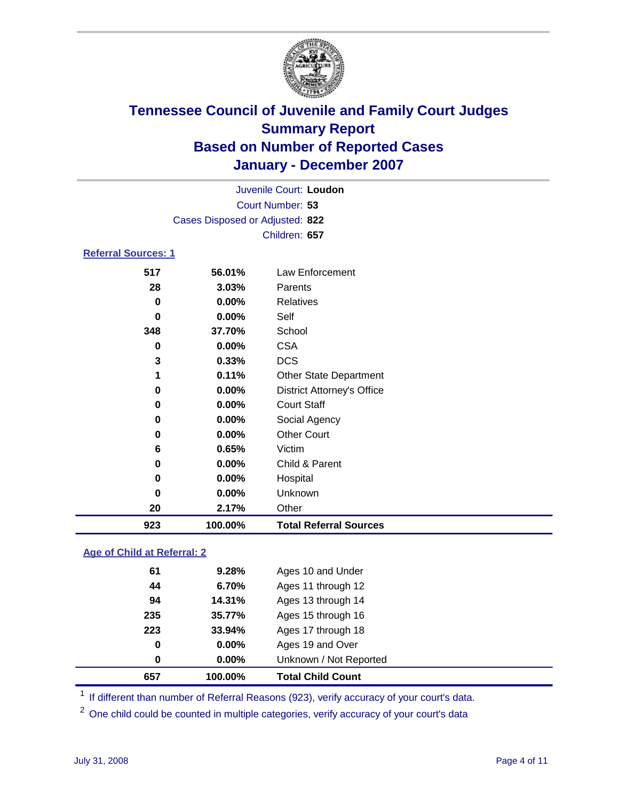

|                            |                                 | Juvenile Court: Loudon            |
|----------------------------|---------------------------------|-----------------------------------|
|                            |                                 | Court Number: 53                  |
|                            | Cases Disposed or Adjusted: 822 |                                   |
|                            |                                 | Children: 657                     |
| <b>Referral Sources: 1</b> |                                 |                                   |
| 517                        | 56.01%                          | Law Enforcement                   |
| 28                         | 3.03%                           | Parents                           |
| 0                          | $0.00\%$                        | Relatives                         |
| 0                          | 0.00%                           | Self                              |
| 348                        | 37.70%                          | School                            |
| 0                          | 0.00%                           | <b>CSA</b>                        |
| 3                          | 0.33%                           | <b>DCS</b>                        |
| 1                          | 0.11%                           | <b>Other State Department</b>     |
| 0                          | 0.00%                           | <b>District Attorney's Office</b> |
| 0                          | 0.00%                           | <b>Court Staff</b>                |
| 0                          | $0.00\%$                        | Social Agency                     |
| 0                          | 0.00%                           | <b>Other Court</b>                |
| 6                          | 0.65%                           | Victim                            |
| 0                          | 0.00%                           | Child & Parent                    |
| 0                          | 0.00%                           | Hospital                          |
| 0                          | $0.00\%$                        | Unknown                           |

**Age of Child at Referral: 2**

**2.17%** Other

**100.00% Total Referral Sources**

| 657 | 100.00%  | <b>Total Child Count</b> |  |
|-----|----------|--------------------------|--|
| 0   | $0.00\%$ | Unknown / Not Reported   |  |
| 0   | 0.00%    | Ages 19 and Over         |  |
| 223 | 33.94%   | Ages 17 through 18       |  |
| 235 | 35.77%   | Ages 15 through 16       |  |
| 94  | 14.31%   | Ages 13 through 14       |  |
| 44  | 6.70%    | Ages 11 through 12       |  |
| 61  | 9.28%    | Ages 10 and Under        |  |
|     |          |                          |  |

<sup>1</sup> If different than number of Referral Reasons (923), verify accuracy of your court's data.

<sup>2</sup> One child could be counted in multiple categories, verify accuracy of your court's data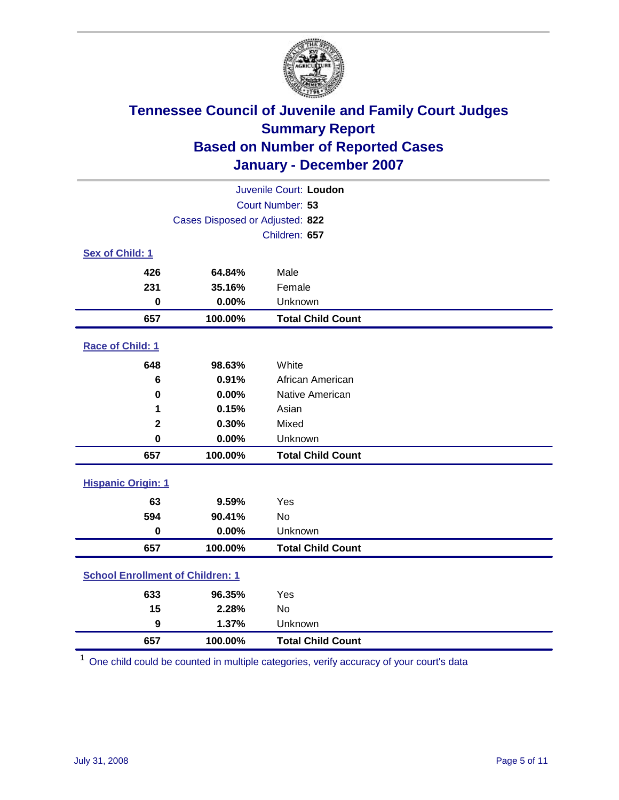

| Juvenile Court: Loudon                  |                                 |                          |  |  |  |
|-----------------------------------------|---------------------------------|--------------------------|--|--|--|
| Court Number: 53                        |                                 |                          |  |  |  |
|                                         | Cases Disposed or Adjusted: 822 |                          |  |  |  |
|                                         |                                 | Children: 657            |  |  |  |
| Sex of Child: 1                         |                                 |                          |  |  |  |
| 426                                     | 64.84%                          | Male                     |  |  |  |
| 231                                     | 35.16%                          | Female                   |  |  |  |
| $\bf{0}$                                | 0.00%                           | Unknown                  |  |  |  |
| 657                                     | 100.00%                         | <b>Total Child Count</b> |  |  |  |
| Race of Child: 1                        |                                 |                          |  |  |  |
| 648                                     | 98.63%                          | White                    |  |  |  |
| 6                                       | 0.91%                           | African American         |  |  |  |
| 0                                       | 0.00%                           | Native American          |  |  |  |
| 1                                       | 0.15%                           | Asian                    |  |  |  |
| $\mathbf 2$                             | 0.30%                           | Mixed                    |  |  |  |
| $\mathbf 0$                             | 0.00%                           | Unknown                  |  |  |  |
| 657                                     | 100.00%                         | <b>Total Child Count</b> |  |  |  |
| <b>Hispanic Origin: 1</b>               |                                 |                          |  |  |  |
| 63                                      | 9.59%                           | Yes                      |  |  |  |
| 594                                     | 90.41%                          | No                       |  |  |  |
| $\mathbf 0$                             | 0.00%                           | Unknown                  |  |  |  |
| 657                                     | 100.00%                         | <b>Total Child Count</b> |  |  |  |
| <b>School Enrollment of Children: 1</b> |                                 |                          |  |  |  |
| 633                                     | 96.35%                          | Yes                      |  |  |  |
| 15                                      | 2.28%                           | No                       |  |  |  |
| $\boldsymbol{9}$                        | 1.37%                           | Unknown                  |  |  |  |
| 657                                     | 100.00%                         | <b>Total Child Count</b> |  |  |  |

One child could be counted in multiple categories, verify accuracy of your court's data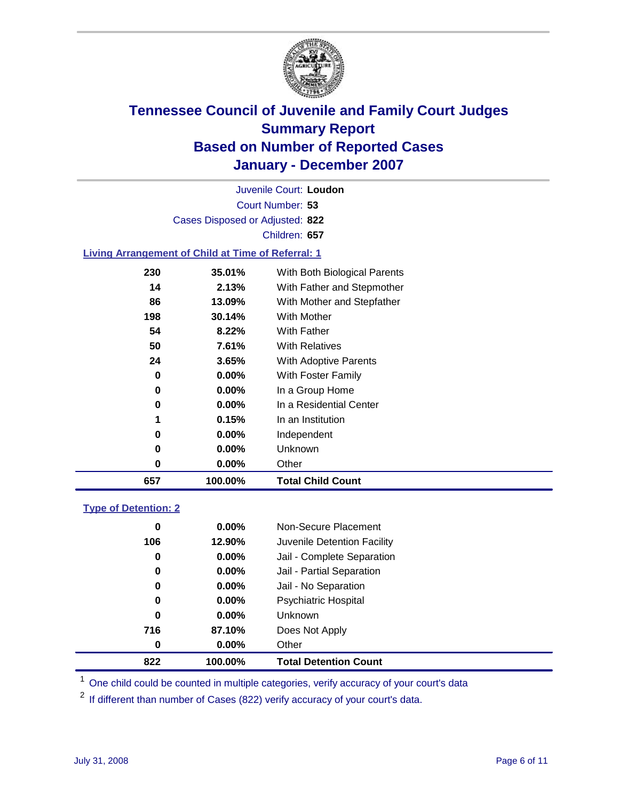

Court Number: **53** Juvenile Court: **Loudon** Cases Disposed or Adjusted: **822** Children: **657**

#### **Living Arrangement of Child at Time of Referral: 1**

| 657 | 100.00%  | <b>Total Child Count</b>     |
|-----|----------|------------------------------|
| 0   | 0.00%    | Other                        |
| 0   | $0.00\%$ | Unknown                      |
| 0   | $0.00\%$ | Independent                  |
| 1   | 0.15%    | In an Institution            |
| 0   | $0.00\%$ | In a Residential Center      |
| 0   | $0.00\%$ | In a Group Home              |
| 0   | $0.00\%$ | With Foster Family           |
| 24  | 3.65%    | With Adoptive Parents        |
| 50  | 7.61%    | <b>With Relatives</b>        |
| 54  | 8.22%    | With Father                  |
| 198 | 30.14%   | With Mother                  |
| 86  | 13.09%   | With Mother and Stepfather   |
| 14  | 2.13%    | With Father and Stepmother   |
| 230 | 35.01%   | With Both Biological Parents |
|     |          |                              |

#### **Type of Detention: 2**

| 822 | 100.00%  | <b>Total Detention Count</b> |  |
|-----|----------|------------------------------|--|
| 0   | $0.00\%$ | Other                        |  |
| 716 | 87.10%   | Does Not Apply               |  |
| 0   | $0.00\%$ | <b>Unknown</b>               |  |
| 0   | 0.00%    | <b>Psychiatric Hospital</b>  |  |
| 0   | 0.00%    | Jail - No Separation         |  |
| 0   | $0.00\%$ | Jail - Partial Separation    |  |
| 0   | $0.00\%$ | Jail - Complete Separation   |  |
| 106 | 12.90%   | Juvenile Detention Facility  |  |
| 0   | $0.00\%$ | Non-Secure Placement         |  |
|     |          |                              |  |

<sup>1</sup> One child could be counted in multiple categories, verify accuracy of your court's data

<sup>2</sup> If different than number of Cases (822) verify accuracy of your court's data.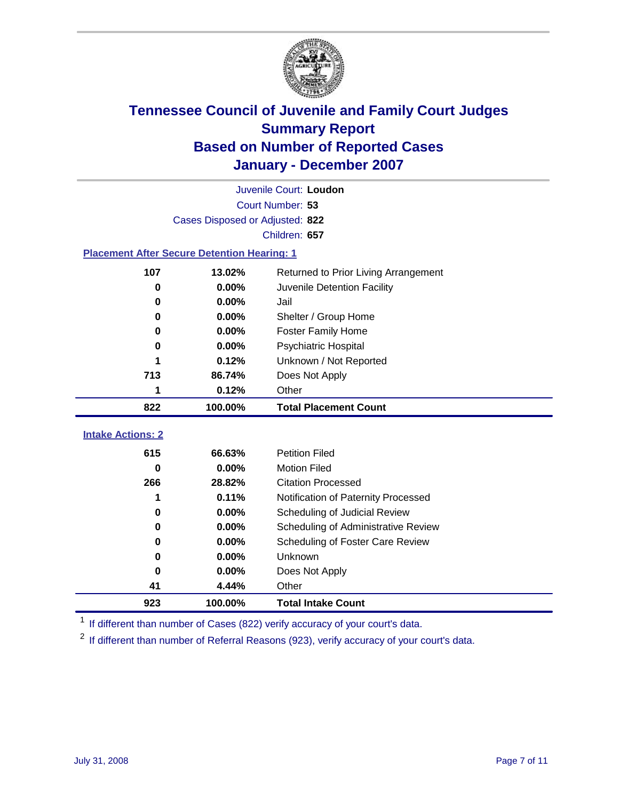

|                                                    | Juvenile Court: Loudon          |                                      |  |  |  |
|----------------------------------------------------|---------------------------------|--------------------------------------|--|--|--|
|                                                    | Court Number: 53                |                                      |  |  |  |
|                                                    | Cases Disposed or Adjusted: 822 |                                      |  |  |  |
|                                                    |                                 | Children: 657                        |  |  |  |
| <b>Placement After Secure Detention Hearing: 1</b> |                                 |                                      |  |  |  |
| 107                                                | 13.02%                          | Returned to Prior Living Arrangement |  |  |  |
| $\bf{0}$                                           | 0.00%                           | Juvenile Detention Facility          |  |  |  |
| $\bf{0}$                                           | 0.00%                           | Jail                                 |  |  |  |
| $\bf{0}$                                           | 0.00%                           | Shelter / Group Home                 |  |  |  |
| 0                                                  | 0.00%                           | <b>Foster Family Home</b>            |  |  |  |
| $\bf{0}$                                           | 0.00%                           | Psychiatric Hospital                 |  |  |  |
|                                                    | 0.12%                           | Unknown / Not Reported               |  |  |  |
| 713                                                | 86.74%                          | Does Not Apply                       |  |  |  |
| 1                                                  | 0.12%                           | Other                                |  |  |  |
| 822                                                | 100.00%                         | <b>Total Placement Count</b>         |  |  |  |
| <b>Intake Actions: 2</b>                           |                                 |                                      |  |  |  |
|                                                    |                                 |                                      |  |  |  |
| 615                                                | 66.63%                          | <b>Petition Filed</b>                |  |  |  |
| $\bf{0}$                                           | 0.00%                           | <b>Motion Filed</b>                  |  |  |  |
| 266                                                | 28.82%                          | <b>Citation Processed</b>            |  |  |  |
| 1                                                  | 0.11%                           | Notification of Paternity Processed  |  |  |  |
| $\bf{0}$                                           | 0.00%                           | Scheduling of Judicial Review        |  |  |  |
| $\bf{0}$                                           | 0.00%                           | Scheduling of Administrative Review  |  |  |  |
| 0                                                  | 0.00%                           | Scheduling of Foster Care Review     |  |  |  |
| $\bf{0}$                                           | 0.00%                           | Unknown                              |  |  |  |
| $\bf{0}$                                           | 0.00%                           | Does Not Apply                       |  |  |  |
| 41                                                 |                                 |                                      |  |  |  |
|                                                    | 4.44%                           | Other                                |  |  |  |

<sup>1</sup> If different than number of Cases (822) verify accuracy of your court's data.

<sup>2</sup> If different than number of Referral Reasons (923), verify accuracy of your court's data.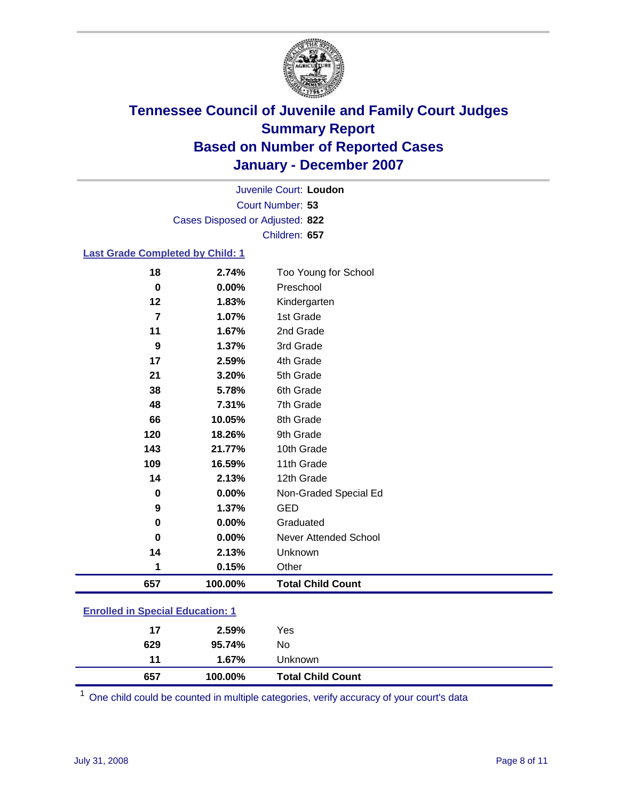

Court Number: **53** Juvenile Court: **Loudon** Cases Disposed or Adjusted: **822** Children: **657**

#### **Last Grade Completed by Child: 1**

| 109<br>14<br>0<br>9 | 2.13%<br>0.00%<br>1.37%            | 11th Grade<br>12th Grade<br>Non-Graded Special Ed<br><b>GED</b> |
|---------------------|------------------------------------|-----------------------------------------------------------------|
|                     |                                    |                                                                 |
|                     |                                    |                                                                 |
|                     |                                    |                                                                 |
|                     | 16.59%                             |                                                                 |
| 143                 | 21.77%                             | 10th Grade                                                      |
| 120                 | 18.26%                             | 9th Grade                                                       |
| 66                  | 10.05%                             | 8th Grade                                                       |
| 48                  | 7.31%                              | 7th Grade                                                       |
| 38                  | 5.78%                              | 6th Grade                                                       |
| 21                  | 3.20%                              | 5th Grade                                                       |
| 17                  | 2.59%                              | 4th Grade                                                       |
| 9                   | 1.37%                              | 3rd Grade                                                       |
|                     |                                    | 2nd Grade                                                       |
|                     |                                    | 1st Grade                                                       |
|                     |                                    | Kindergarten                                                    |
|                     |                                    | Too Young for School<br>Preschool                               |
|                     | 18<br>$\mathbf 0$<br>12<br>7<br>11 | 2.74%<br>0.00%<br>1.83%<br>1.07%<br>1.67%                       |

### **Enrolled in Special Education: 1**

| 657 | 100.00% | <b>Total Child Count</b> |  |
|-----|---------|--------------------------|--|
| 11  | 1.67%   | Unknown                  |  |
| 629 | 95.74%  | No                       |  |
| 17  | 2.59%   | Yes                      |  |
|     |         |                          |  |

<sup>1</sup> One child could be counted in multiple categories, verify accuracy of your court's data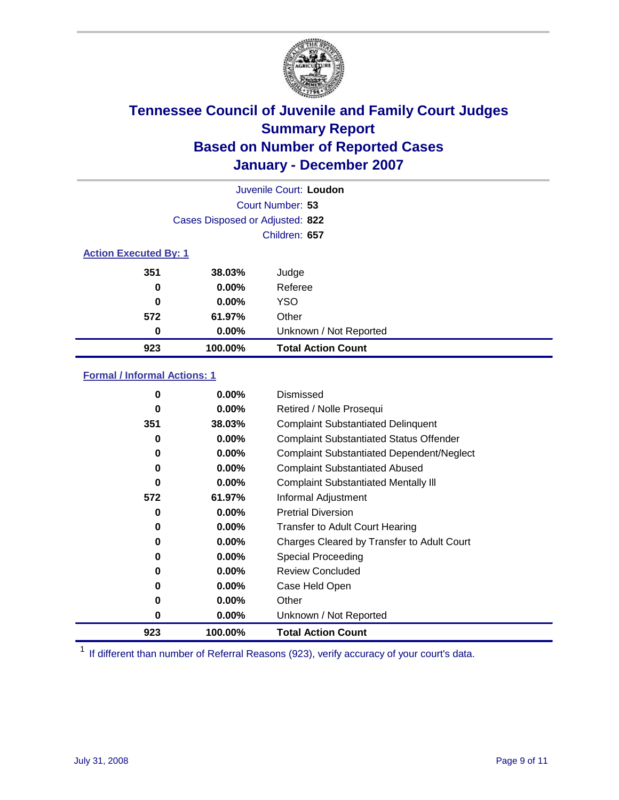

| Juvenile Court: Loudon       |                                 |                           |  |  |  |
|------------------------------|---------------------------------|---------------------------|--|--|--|
|                              | Court Number: 53                |                           |  |  |  |
|                              | Cases Disposed or Adjusted: 822 |                           |  |  |  |
|                              |                                 | Children: 657             |  |  |  |
| <b>Action Executed By: 1</b> |                                 |                           |  |  |  |
| 351                          | 38.03%                          | Judge                     |  |  |  |
| 0                            | $0.00\%$                        | Referee                   |  |  |  |
| 0                            | $0.00\%$                        | <b>YSO</b>                |  |  |  |
| 572                          | 61.97%                          | Other                     |  |  |  |
| 0                            | $0.00\%$                        | Unknown / Not Reported    |  |  |  |
| 923                          | 100.00%                         | <b>Total Action Count</b> |  |  |  |

### **Formal / Informal Actions: 1**

| 0        | $0.00\%$ | Dismissed                                        |
|----------|----------|--------------------------------------------------|
| 0        | $0.00\%$ | Retired / Nolle Prosequi                         |
| 351      | 38.03%   | <b>Complaint Substantiated Delinguent</b>        |
| 0        | $0.00\%$ | <b>Complaint Substantiated Status Offender</b>   |
| 0        | $0.00\%$ | <b>Complaint Substantiated Dependent/Neglect</b> |
| 0        | $0.00\%$ | <b>Complaint Substantiated Abused</b>            |
| $\bf{0}$ | $0.00\%$ | <b>Complaint Substantiated Mentally III</b>      |
| 572      | 61.97%   | Informal Adjustment                              |
| 0        | 0.00%    | <b>Pretrial Diversion</b>                        |
| 0        | $0.00\%$ | <b>Transfer to Adult Court Hearing</b>           |
| 0        | $0.00\%$ | Charges Cleared by Transfer to Adult Court       |
| 0        | 0.00%    | Special Proceeding                               |
| 0        | $0.00\%$ | <b>Review Concluded</b>                          |
| $\bf{0}$ | $0.00\%$ | Case Held Open                                   |
| 0        | $0.00\%$ | Other                                            |
| 0        | $0.00\%$ | Unknown / Not Reported                           |
| 923      | 100.00%  | <b>Total Action Count</b>                        |

<sup>1</sup> If different than number of Referral Reasons (923), verify accuracy of your court's data.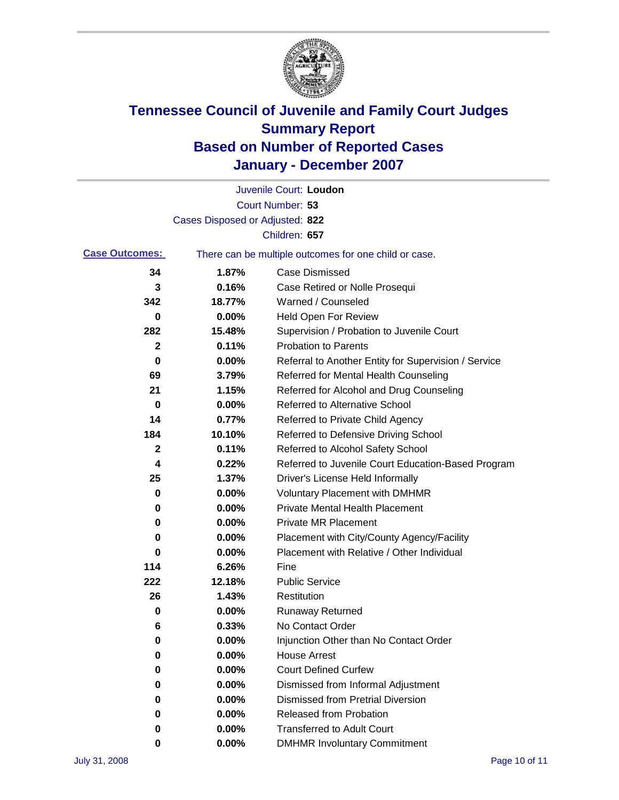

|                       |                                 | Juvenile Court: Loudon                                |
|-----------------------|---------------------------------|-------------------------------------------------------|
|                       |                                 | Court Number: 53                                      |
|                       | Cases Disposed or Adjusted: 822 |                                                       |
|                       |                                 | Children: 657                                         |
| <b>Case Outcomes:</b> |                                 | There can be multiple outcomes for one child or case. |
| 34                    | 1.87%                           | <b>Case Dismissed</b>                                 |
| 3                     | 0.16%                           | Case Retired or Nolle Prosequi                        |
| 342                   | 18.77%                          | Warned / Counseled                                    |
| 0                     | 0.00%                           | Held Open For Review                                  |
| 282                   | 15.48%                          | Supervision / Probation to Juvenile Court             |
| $\mathbf 2$           | 0.11%                           | <b>Probation to Parents</b>                           |
| 0                     | 0.00%                           | Referral to Another Entity for Supervision / Service  |
| 69                    | 3.79%                           | Referred for Mental Health Counseling                 |
| 21                    | 1.15%                           | Referred for Alcohol and Drug Counseling              |
| 0                     | 0.00%                           | <b>Referred to Alternative School</b>                 |
| 14                    | 0.77%                           | Referred to Private Child Agency                      |
| 184                   | 10.10%                          | Referred to Defensive Driving School                  |
| $\mathbf 2$           | 0.11%                           | Referred to Alcohol Safety School                     |
| 4                     | 0.22%                           | Referred to Juvenile Court Education-Based Program    |
| 25                    | 1.37%                           | Driver's License Held Informally                      |
| 0                     | 0.00%                           | <b>Voluntary Placement with DMHMR</b>                 |
| 0                     | 0.00%                           | <b>Private Mental Health Placement</b>                |
| 0                     | 0.00%                           | <b>Private MR Placement</b>                           |
| 0                     | 0.00%                           | Placement with City/County Agency/Facility            |
| 0                     | 0.00%                           | Placement with Relative / Other Individual            |
| 114                   | 6.26%                           | Fine                                                  |
| 222                   | 12.18%                          | <b>Public Service</b>                                 |
| 26                    | 1.43%                           | Restitution                                           |
| 0                     | 0.00%                           | <b>Runaway Returned</b>                               |
| 6                     | 0.33%                           | No Contact Order                                      |
| $\boldsymbol{0}$      | 0.00%                           | Injunction Other than No Contact Order                |
| 0                     | 0.00%                           | <b>House Arrest</b>                                   |
| 0                     | 0.00%                           | <b>Court Defined Curfew</b>                           |
| 0                     | 0.00%                           | Dismissed from Informal Adjustment                    |
| 0                     | 0.00%                           | <b>Dismissed from Pretrial Diversion</b>              |
| 0                     | 0.00%                           | Released from Probation                               |
| 0                     | 0.00%                           | <b>Transferred to Adult Court</b>                     |
| 0                     | 0.00%                           | <b>DMHMR Involuntary Commitment</b>                   |